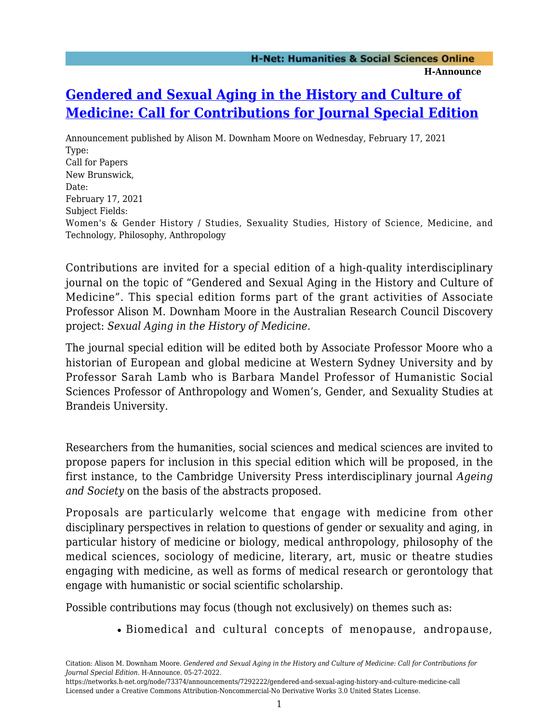## **[Gendered and Sexual Aging in the History and Culture of](https://networks.h-net.org/node/73374/announcements/7292222/gendered-and-sexual-aging-history-and-culture-medicine-call) [Medicine: Call for Contributions for Journal Special Edition](https://networks.h-net.org/node/73374/announcements/7292222/gendered-and-sexual-aging-history-and-culture-medicine-call)**

Announcement published by Alison M. Downham Moore on Wednesday, February 17, 2021 Type: Call for Papers New Brunswick, Date: February 17, 2021 Subject Fields: Women's & Gender History / Studies, Sexuality Studies, History of Science, Medicine, and Technology, Philosophy, Anthropology

Contributions are invited for a special edition of a high-quality interdisciplinary journal on the topic of "Gendered and Sexual Aging in the History and Culture of Medicine". This special edition forms part of the grant activities of Associate Professor Alison M. Downham Moore in the Australian Research Council Discovery project: *Sexual Aging in the History of Medicine*.

The journal special edition will be edited both by Associate Professor Moore who a historian of European and global medicine at Western Sydney University and by Professor Sarah Lamb who is Barbara Mandel Professor of Humanistic Social Sciences Professor of Anthropology and Women's, Gender, and Sexuality Studies at Brandeis University.

Researchers from the humanities, social sciences and medical sciences are invited to propose papers for inclusion in this special edition which will be proposed, in the first instance, to the Cambridge University Press interdisciplinary journal *Ageing and Society* on the basis of the abstracts proposed.

Proposals are particularly welcome that engage with medicine from other disciplinary perspectives in relation to questions of gender or sexuality and aging, in particular history of medicine or biology, medical anthropology, philosophy of the medical sciences, sociology of medicine, literary, art, music or theatre studies engaging with medicine, as well as forms of medical research or gerontology that engage with humanistic or social scientific scholarship.

Possible contributions may focus (though not exclusively) on themes such as:

Biomedical and cultural concepts of menopause, andropause,